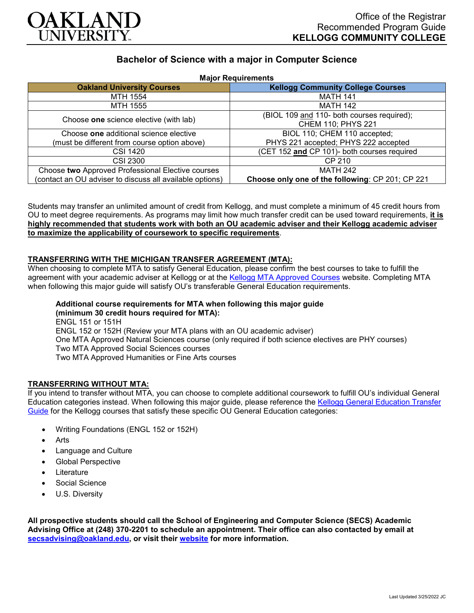

# **Bachelor of Science with a major in Computer Science**

| <b>Major Requirements</b>                                |                                                  |
|----------------------------------------------------------|--------------------------------------------------|
| <b>Oakland University Courses</b>                        | <b>Kellogg Community College Courses</b>         |
| MTH 1554                                                 | <b>MATH 141</b>                                  |
| MTH 1555                                                 | <b>MATH 142</b>                                  |
| Choose one science elective (with lab)                   | (BIOL 109 and 110- both courses required);       |
|                                                          | CHEM 110; PHYS 221                               |
| Choose one additional science elective                   | BIOL 110; CHEM 110 accepted;                     |
| (must be different from course option above)             | PHYS 221 accepted; PHYS 222 accepted             |
| <b>CSI 1420</b>                                          | (CET 152 and CP 101)- both courses required      |
| CSI 2300                                                 | CP 210                                           |
| Choose two Approved Professional Elective courses        | <b>MATH 242</b>                                  |
| (contact an OU adviser to discuss all available options) | Choose only one of the following: CP 201; CP 221 |

Students may transfer an unlimited amount of credit from Kellogg, and must complete a minimum of 45 credit hours from OU to meet degree requirements. As programs may limit how much transfer credit can be used toward requirements, **it is highly recommended that students work with both an OU academic adviser and their Kellogg academic adviser to maximize the applicability of coursework to specific requirements**.

## **TRANSFERRING WITH THE MICHIGAN TRANSFER AGREEMENT (MTA):**

When choosing to complete MTA to satisfy General Education, please confirm the best courses to take to fulfill the agreement with your academic adviser at Kellogg or at the [Kellogg MTA Approved Courses](http://catalog.kellogg.edu/content.php?catoid=18&navoid=790#michigan-transfer-agreement) website. Completing MTA when following this major guide will satisfy OU's transferable General Education requirements.

**Additional course requirements for MTA when following this major guide (minimum 30 credit hours required for MTA):** ENGL 151 or 151H ENGL 152 or 152H (Review your MTA plans with an OU academic adviser) One MTA Approved Natural Sciences course (only required if both science electives are PHY courses) Two MTA Approved Social Sciences courses Two MTA Approved Humanities or Fine Arts courses

#### **TRANSFERRING WITHOUT MTA:**

If you intend to transfer without MTA, you can choose to complete additional coursework to fulfill OU's individual General Education categories instead. When following this major guide, please reference the [Kellogg General Education Transfer](https://www.oakland.edu/Assets/Oakland/program-guides/kellogg-community-college/university-general-education-requirements/Kellogg%20Gen%20Ed.pdf)  [Guide](https://www.oakland.edu/Assets/Oakland/program-guides/kellogg-community-college/university-general-education-requirements/Kellogg%20Gen%20Ed.pdf) for the Kellogg courses that satisfy these specific OU General Education categories:

- Writing Foundations (ENGL 152 or 152H)
- Arts
- Language and Culture
- Global Perspective
- **Literature**
- Social Science
- U.S. Diversity

**All prospective students should call the School of Engineering and Computer Science (SECS) Academic Advising Office at (248) 370-2201 to schedule an appointment. Their office can also contacted by email at [secsadvising@oakland.edu,](mailto:secsadvising@oakland.edu) or visit their [website](https://wwwp.oakland.edu/secs/advising/) for more information.**